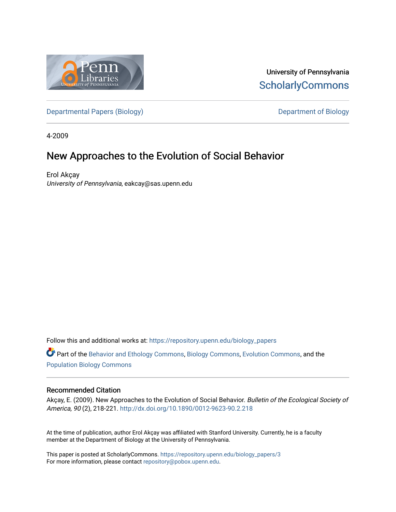

University of Pennsylvania **ScholarlyCommons** 

[Departmental Papers \(Biology\)](https://repository.upenn.edu/biology_papers) and Department of Biology

4-2009

## New Approaches to the Evolution of Social Behavior

Erol Akçay University of Pennsylvania, eakcay@sas.upenn.edu

Follow this and additional works at: [https://repository.upenn.edu/biology\\_papers](https://repository.upenn.edu/biology_papers?utm_source=repository.upenn.edu%2Fbiology_papers%2F3&utm_medium=PDF&utm_campaign=PDFCoverPages) 

Part of the [Behavior and Ethology Commons,](http://network.bepress.com/hgg/discipline/15?utm_source=repository.upenn.edu%2Fbiology_papers%2F3&utm_medium=PDF&utm_campaign=PDFCoverPages) [Biology Commons,](http://network.bepress.com/hgg/discipline/41?utm_source=repository.upenn.edu%2Fbiology_papers%2F3&utm_medium=PDF&utm_campaign=PDFCoverPages) [Evolution Commons,](http://network.bepress.com/hgg/discipline/18?utm_source=repository.upenn.edu%2Fbiology_papers%2F3&utm_medium=PDF&utm_campaign=PDFCoverPages) and the [Population Biology Commons](http://network.bepress.com/hgg/discipline/19?utm_source=repository.upenn.edu%2Fbiology_papers%2F3&utm_medium=PDF&utm_campaign=PDFCoverPages) 

#### Recommended Citation

Akçay, E. (2009). New Approaches to the Evolution of Social Behavior. Bulletin of the Ecological Society of America, 90 (2), 218-221. <http://dx.doi.org/10.1890/0012-9623-90.2.218>

At the time of publication, author Erol Akçay was affiliated with Stanford University. Currently, he is a faculty member at the Department of Biology at the University of Pennsylvania.

This paper is posted at ScholarlyCommons. [https://repository.upenn.edu/biology\\_papers/3](https://repository.upenn.edu/biology_papers/3) For more information, please contact [repository@pobox.upenn.edu.](mailto:repository@pobox.upenn.edu)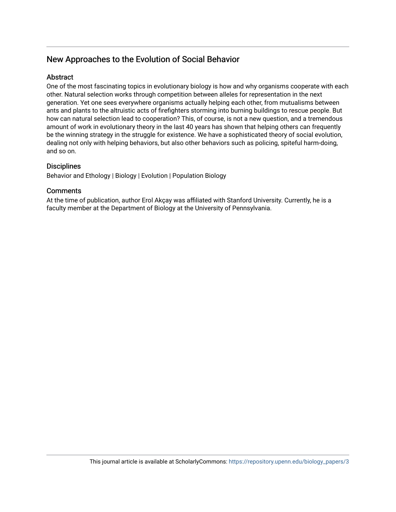### New Approaches to the Evolution of Social Behavior

#### **Abstract**

One of the most fascinating topics in evolutionary biology is how and why organisms cooperate with each other. Natural selection works through competition between alleles for representation in the next generation. Yet one sees everywhere organisms actually helping each other, from mutualisms between ants and plants to the altruistic acts of firefighters storming into burning buildings to rescue people. But how can natural selection lead to cooperation? This, of course, is not a new question, and a tremendous amount of work in evolutionary theory in the last 40 years has shown that helping others can frequently be the winning strategy in the struggle for existence. We have a sophisticated theory of social evolution, dealing not only with helping behaviors, but also other behaviors such as policing, spiteful harm-doing, and so on.

#### **Disciplines**

Behavior and Ethology | Biology | Evolution | Population Biology

#### **Comments**

At the time of publication, author Erol Akçay was affiliated with Stanford University. Currently, he is a faculty member at the Department of Biology at the University of Pennsylvania.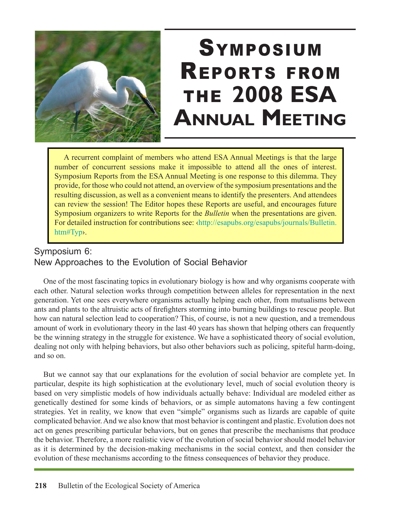

# **SYMPOSIUM** REPORTS FROM THE **2008 ESA ANNUAL MEETING**

A recurrent complaint of members who attend ESA Annual Meetings is that the large number of concurrent sessions make it impossible to attend all the ones of interest. Symposium Reports from the ESA Annual Meeting is one response to this dilemma. They provide, for those who could not attend, an overview of the symposium presentations and the resulting discussion, as well as a convenient means to identify the presenters. And attendees can review the session! The Editor hopes these Reports are useful, and encourages future Symposium organizers to write Reports for the *Bulletin* when the presentations are given. For detailed instruction for contributions see: ‹http://esapubs.org/esapubs/journals/Bulletin. htm#Typ›.

## Symposium 6: New Approaches to the Evolution of Social Behavior

One of the most fascinating topics in evolutionary biology is how and why organisms cooperate with each other. Natural selection works through competition between alleles for representation in the next generation. Yet one sees everywhere organisms actually helping each other, from mutualisms between ants and plants to the altruistic acts of firefighters storming into burning buildings to rescue people. But how can natural selection lead to cooperation? This, of course, is not a new question, and a tremendous amount of work in evolutionary theory in the last 40 years has shown that helping others can frequently be the winning strategy in the struggle for existence. We have a sophisticated theory of social evolution, dealing not only with helping behaviors, but also other behaviors such as policing, spiteful harm-doing, and so on.

But we cannot say that our explanations for the evolution of social behavior are complete yet. In particular, despite its high sophistication at the evolutionary level, much of social evolution theory is based on very simplistic models of how individuals actually behave: Individual are modeled either as genetically destined for some kinds of behaviors, or as simple automatons having a few contingent strategies. Yet in reality, we know that even "simple" organisms such as lizards are capable of quite complicated behavior. And we also know that most behavior is contingent and plastic. Evolution does not act on genes prescribing particular behaviors, but on genes that prescribe the mechanisms that produce the behavior. Therefore, a more realistic view of the evolution of social behavior should model behavior as it is determined by the decision-making mechanisms in the social context, and then consider the evolution of these mechanisms according to the fitness consequences of behavior they produce.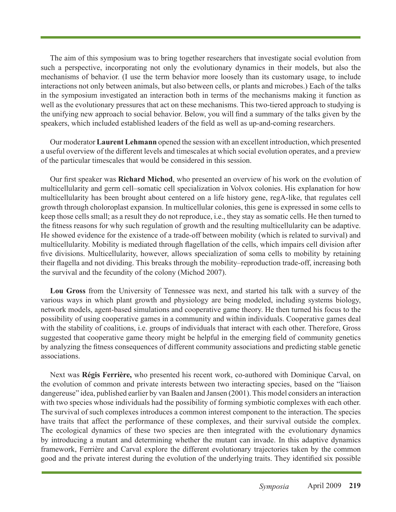The aim of this symposium was to bring together researchers that investigate social evolution from such a perspective, incorporating not only the evolutionary dynamics in their models, but also the mechanisms of behavior. (I use the term behavior more loosely than its customary usage, to include interactions not only between animals, but also between cells, or plants and microbes.) Each of the talks in the symposium investigated an interaction both in terms of the mechanisms making it function as well as the evolutionary pressures that act on these mechanisms. This two-tiered approach to studying is the unifying new approach to social behavior. Below, you will find a summary of the talks given by the speakers, which included established leaders of the field as well as up-and-coming researchers.

Our moderator **Laurent Lehmann** opened the session with an excellent introduction, which presented a useful overview of the different levels and timescales at which social evolution operates, and a preview of the particular timescales that would be considered in this session.

Our first speaker was **Richard Michod**, who presented an overview of his work on the evolution of multicellularity and germ cell–somatic cell specialization in Volvox colonies. His explanation for how multicellularity has been brought about centered on a life history gene, regA-like, that regulates cell growth through choloroplast expansion. In multicellular colonies, this gene is expressed in some cells to keep those cells small; as a result they do not reproduce, i.e., they stay as somatic cells. He then turned to the fitness reasons for why such regulation of growth and the resulting multicellularity can be adaptive. He showed evidence for the existence of a trade-off between mobility (which is related to survival) and multicellularity. Mobility is mediated through flagellation of the cells, which impairs cell division after five divisions. Multicellularity, however, allows specialization of soma cells to mobility by retaining their flagella and not dividing. This breaks through the mobility–reproduction trade-off, increasing both the survival and the fecundity of the colony (Michod 2007).

**Lou Gross** from the University of Tennessee was next, and started his talk with a survey of the various ways in which plant growth and physiology are being modeled, including systems biology, network models, agent-based simulations and cooperative game theory. He then turned his focus to the possibility of using cooperative games in a community and within individuals. Cooperative games deal with the stability of coalitions, i.e. groups of individuals that interact with each other. Therefore, Gross suggested that cooperative game theory might be helpful in the emerging field of community genetics by analyzing the fitness consequences of different community associations and predicting stable genetic associations.

Next was **Régis Ferrière,** who presented his recent work, co-authored with Dominique Carval, on the evolution of common and private interests between two interacting species, based on the "liaison dangereuse" idea, published earlier by van Baalen and Jansen (2001). This model considers an interaction with two species whose individuals had the possibility of forming symbiotic complexes with each other. The survival of such complexes introduces a common interest component to the interaction. The species have traits that affect the performance of these complexes, and their survival outside the complex. The ecological dynamics of these two species are then integrated with the evolutionary dynamics by introducing a mutant and determining whether the mutant can invade. In this adaptive dynamics framework, Ferrière and Carval explore the different evolutionary trajectories taken by the common good and the private interest during the evolution of the underlying traits. They identified six possible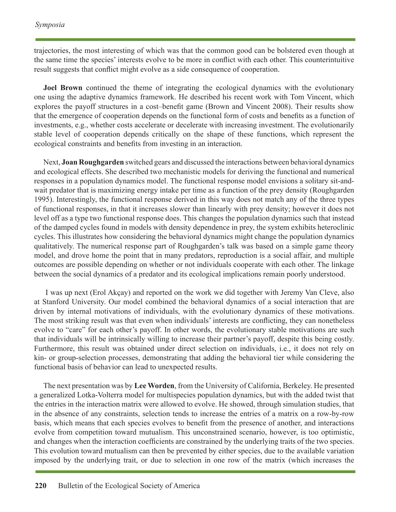trajectories, the most interesting of which was that the common good can be bolstered even though at the same time the species' interests evolve to be more in conflict with each other. This counterintuitive result suggests that conflict might evolve as a side consequence of cooperation.

**Joel Brown** continued the theme of integrating the ecological dynamics with the evolutionary one using the adaptive dynamics framework. He described his recent work with Tom Vincent, which explores the payoff structures in a cost–benefit game (Brown and Vincent 2008). Their results show that the emergence of cooperation depends on the functional form of costs and benefits as a function of investments, e.g., whether costs accelerate or decelerate with increasing investment. The evolutionarily stable level of cooperation depends critically on the shape of these functions, which represent the ecological constraints and benefits from investing in an interaction.

Next, **Joan Roughgarden** switched gears and discussed the interactions between behavioral dynamics and ecological effects. She described two mechanistic models for deriving the functional and numerical responses in a population dynamics model. The functional response model envisions a solitary sit-andwait predator that is maximizing energy intake per time as a function of the prey density (Roughgarden 1995). Interestingly, the functional response derived in this way does not match any of the three types of functional responses, in that it increases slower than linearly with prey density; however it does not level off as a type two functional response does. This changes the population dynamics such that instead of the damped cycles found in models with density dependence in prey, the system exhibits heteroclinic cycles. This illustrates how considering the behavioral dynamics might change the population dynamics qualitatively. The numerical response part of Roughgarden's talk was based on a simple game theory model, and drove home the point that in many predators, reproduction is a social affair, and multiple outcomes are possible depending on whether or not individuals cooperate with each other. The linkage between the social dynamics of a predator and its ecological implications remain poorly understood.

 I was up next (Erol Akçay) and reported on the work we did together with Jeremy Van Cleve, also at Stanford University. Our model combined the behavioral dynamics of a social interaction that are driven by internal motivations of individuals, with the evolutionary dynamics of these motivations. The most striking result was that even when individuals' interests are conflicting, they can nonetheless evolve to "care" for each other's payoff. In other words, the evolutionary stable motivations are such that individuals will be intrinsically willing to increase their partner's payoff, despite this being costly. Furthermore, this result was obtained under direct selection on individuals, i.e., it does not rely on kin- or group-selection processes, demonstrating that adding the behavioral tier while considering the functional basis of behavior can lead to unexpected results.

The next presentation was by **Lee Worden**, from the University of California, Berkeley. He presented a generalized Lotka-Volterra model for multispecies population dynamics, but with the added twist that the entries in the interaction matrix were allowed to evolve. He showed, through simulation studies, that in the absence of any constraints, selection tends to increase the entries of a matrix on a row-by-row basis, which means that each species evolves to benefit from the presence of another, and interactions evolve from competition toward mutualism. This unconstrained scenario, however, is too optimistic, and changes when the interaction coefficients are constrained by the underlying traits of the two species. This evolution toward mutualism can then be prevented by either species, due to the available variation imposed by the underlying trait, or due to selection in one row of the matrix (which increases the